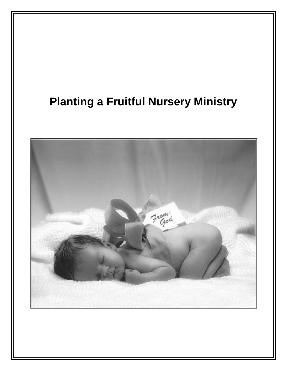# **Planting a Fruitful Nursery Ministry**

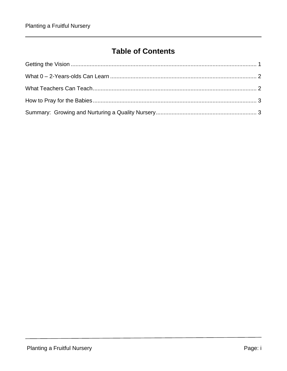### **Table of Contents**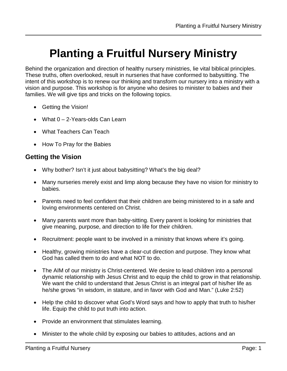## **Planting a Fruitful Nursery Ministry**

Behind the organization and direction of healthy nursery ministries, lie vital biblical principles. These truths, often overlooked, result in nurseries that have conformed to babysitting. The intent of this workshop is to renew our thinking and transform our nursery into a ministry with a vision and purpose. This workshop is for anyone who desires to minister to babies and their families. We will give tips and tricks on the following topics.

- Getting the Vision!
- What 0 2-Years-olds Can Learn
- What Teachers Can Teach
- How To Pray for the Babies

### <span id="page-4-0"></span>**Getting the Vision**

- Why bother? Isn't it just about babysitting? What's the big deal?
- Many nurseries merely exist and limp along because they have no vision for ministry to babies.
- Parents need to feel confident that their children are being ministered to in a safe and loving environments centered on Christ.
- Many parents want more than baby-sitting. Every parent is looking for ministries that give meaning, purpose, and direction to life for their children.
- Recruitment: people want to be involved in a ministry that knows where it's going.
- Healthy, growing ministries have a clear-cut direction and purpose. They know what God has called them to do and what NOT to do.
- The AIM of our ministry is Christ-centered. We desire to lead children into a personal dynamic relationship with Jesus Christ and to equip the child to grow in that relationship. We want the child to understand that Jesus Christ is an integral part of his/her life as he/she grows "in wisdom, in stature, and in favor with God and Man." (Luke 2:52)
- Help the child to discover what God's Word says and how to apply that truth to his/her life. Equip the child to put truth into action.
- Provide an environment that stimulates learning.
- Minister to the whole child by exposing our babies to attitudes, actions and an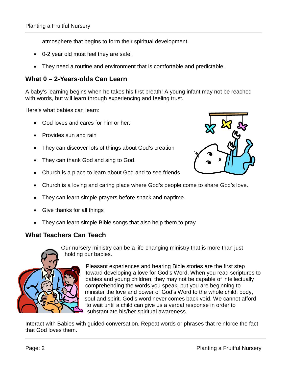atmosphere that begins to form their spiritual development.

- 0-2 year old must feel they are safe.
- They need a routine and environment that is comfortable and predictable.

#### <span id="page-5-0"></span>**What 0 – 2-Years-olds Can Learn**

A baby's learning begins when he takes his first breath! A young infant may not be reached with words, but will learn through experiencing and feeling trust.

Here's what babies can learn:

- God loves and cares for him or her.
- Provides sun and rain
- They can discover lots of things about God's creation
- They can thank God and sing to God.
- Church is a place to learn about God and to see friends
- Church is a loving and caring place where God's people come to share God's love.
- They can learn simple prayers before snack and naptime.
- Give thanks for all things
- They can learn simple Bible songs that also help them to pray

#### <span id="page-5-1"></span>**What Teachers Can Teach**



Our nursery ministry can be a life-changing ministry that is more than just holding our babies.

> Pleasant experiences and hearing Bible stories are the first step toward developing a love for God's Word. When you read scriptures to babies and young children, they may not be capable of intellectually comprehending the words you speak, but you are beginning to minister the love and power of God's Word to the whole child: body, soul and spirit. God's word never comes back void. We cannot afford to wait until a child can give us a verbal response in order to substantiate his/her spiritual awareness.

Interact with Babies with guided conversation. Repeat words or phrases that reinforce the fact that God loves them.

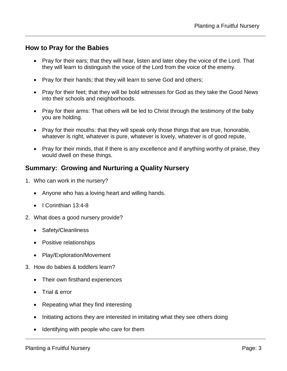#### <span id="page-6-0"></span>**How to Pray for the Babies**

- Pray for their ears; that they will hear, listen and later obey the voice of the Lord. That they will learn to distinguish the voice of the Lord from the voice of the enemy.
- Pray for their hands; that they will learn to serve God and others;
- Pray for their feet; that they will be bold witnesses for God as they take the Good News into their schools and neighborhoods.
- Pray for their arms: That others will be led to Christ through the testimony of the baby you are holding.
- Pray for their mouths: that they will speak only those things that are true, honorable, whatever is right, whatever is pure, whatever is lovely, whatever is of good repute,
- Pray for their minds, that if there is any excellence and if anything worthy of praise, they would dwell on these things.

#### <span id="page-6-1"></span>**Summary: Growing and Nurturing a Quality Nursery**

- 1. Who can work in the nursery?
	- Anyone who has a loving heart and willing hands.
	- I Corinthian 13:4-8
- 2. What does a good nursery provide?
	- Safety/Cleanliness
	- Positive relationships
	- Play/Exploration/Movement
- 3. How do babies & toddlers learn?
	- Their own firsthand experiences
	- Trial & error
	- Repeating what they find interesting
	- Initiating actions they are interested in imitating what they see others doing
	- Identifying with people who care for them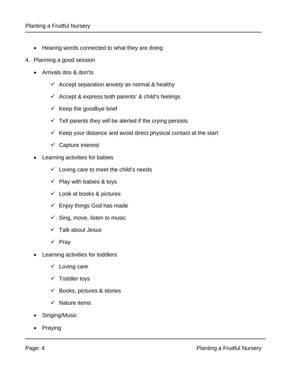- Hearing words connected to what they are doing
- 4. Planning a good session
	- Arrivals dos & don'ts
		- $\checkmark$  Accept separation anxiety as normal & healthy
		- $\checkmark$  Accept & express both parents' & child's feelings
		- $\checkmark$  Keep the goodbye brief
		- $\checkmark$  Tell parents they will be alerted if the crying persists
		- $\checkmark$  Keep your distance and avoid direct physical contact at the start
		- $\checkmark$  Capture interest
	- Learning activities for babies
		- $\checkmark$  Loving care to meet the child's needs
		- $\checkmark$  Play with babies & toys
		- $\checkmark$  Look at books & pictures
		- $\checkmark$  Enjoy things God has made
		- $\checkmark$  Sing, move, listen to music
		- $\checkmark$  Talk about Jesus
		- $\checkmark$  Pray
	- **Learning activities for toddlers** 
		- $\checkmark$  Loving care
		- $\checkmark$  Toddler toys
		- $\checkmark$  Books, pictures & stories
		- $\checkmark$  Nature items
	- Singing/Music
	- **Praying**